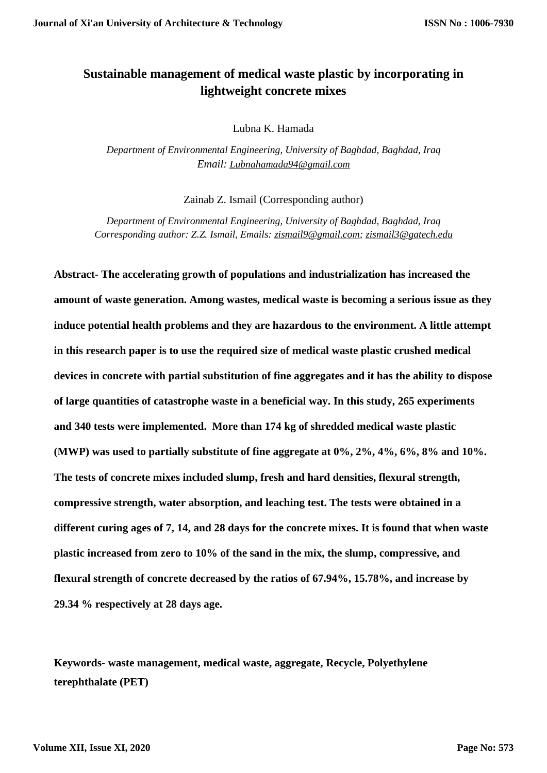# **Sustainable management of medical waste plastic by incorporating in lightweight concrete mixes**

Lubna K. Hamada

*Department of Environmental Engineering, University of Baghdad, Baghdad, Iraq Email: [Lubnahamada94@gmail.com](mailto:Lubnahamada94@gmail.com)*

Zainab Z. Ismail (Corresponding author)

*Department of Environmental Engineering, University of Baghdad, Baghdad, Iraq Corresponding author: Z.Z. Ismail, Emails: [zismail9@gmail.com;](mailto:zismail9@gmail.com) [zismail3@gatech.edu](mailto:zismail3@gatech.edu)*

**Abstract- The accelerating growth of populations and industrialization has increased the amount of waste generation. Among wastes, medical waste is becoming a serious issue as they induce potential health problems and they are hazardous to the environment. A little attempt in this research paper is to use the required size of medical waste plastic crushed medical devices in concrete with partial substitution of fine aggregates and it has the ability to dispose of large quantities of catastrophe waste in a beneficial way. In this study, 265 experiments and 340 tests were implemented. More than 174 kg of shredded medical waste plastic (MWP) was used to partially substitute of fine aggregate at 0%, 2%, 4%, 6%, 8% and 10%. The tests of concrete mixes included slump, fresh and hard densities, flexural strength, compressive strength, water absorption, and leaching test. The tests were obtained in a different curing ages of 7, 14, and 28 days for the concrete mixes. It is found that when waste plastic increased from zero to 10% of the sand in the mix, the slump, compressive, and flexural strength of concrete decreased by the ratios of 67.94%, 15.78%, and increase by 29.34 % respectively at 28 days age.**

**Keywords- waste management, medical waste, aggregate, Recycle, Polyethylene terephthalate (PET)**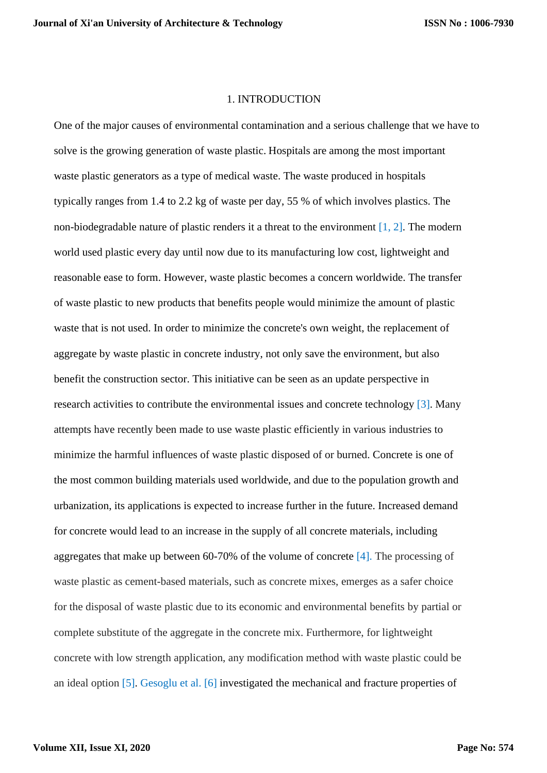### 1. INTRODUCTION

One of the major causes of environmental contamination and a serious challenge that we have to solve is the growing generation of waste plastic. Hospitals are among the most important waste plastic generators as a type of medical waste. The waste produced in hospitals typically ranges from 1.4 to 2.2 kg of waste per day, 55 % of which involves plastics. The non-biodegradable nature of plastic renders it a threat to the environment  $[1, 2]$ . The modern world used plastic every day until now due to its manufacturing low cost, lightweight and reasonable ease to form. However, waste plastic becomes a concern worldwide. The transfer of waste plastic to new products that benefits people would minimize the amount of plastic waste that is not used. In order to minimize the concrete's own weight, the replacement of aggregate by waste plastic in concrete industry, not only save the environment, but also benefit the construction sector. This initiative can be seen as an update perspective in research activities to contribute the environmental issues and concrete technology [3]. Many attempts have recently been made to use waste plastic efficiently in various industries to minimize the harmful influences of waste plastic disposed of or burned. Concrete is one of the most common building materials used worldwide, and due to the population growth and urbanization, its applications is expected to increase further in the future. Increased demand for concrete would lead to an increase in the supply of all concrete materials, including aggregates that make up between 60-70% of the volume of concrete [4]. The processing of waste plastic as cement-based materials, such as concrete mixes, emerges as a safer choice for the disposal of waste plastic due to its economic and environmental benefits by partial or complete substitute of the aggregate in the concrete mix. Furthermore, for lightweight concrete with low strength application, any modification method with waste plastic could be an ideal option [5]. Gesoglu et al. [6] investigated the mechanical and fracture properties of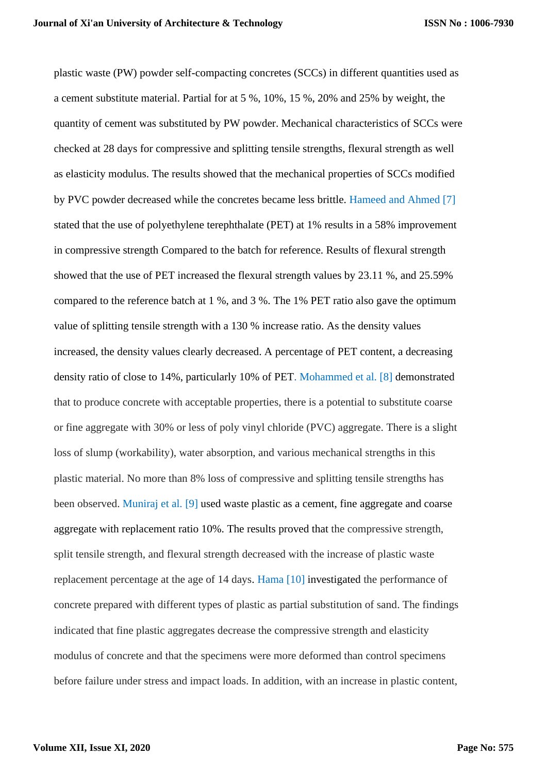plastic waste (PW) powder self-compacting concretes (SCCs) in different quantities used as a cement substitute material. Partial for at 5 %, 10%, 15 %, 20% and 25% by weight, the quantity of cement was substituted by PW powder. Mechanical characteristics of SCCs were checked at 28 days for compressive and splitting tensile strengths, flexural strength as well as elasticity modulus. The results showed that the mechanical properties of SCCs modified by PVC powder decreased while the concretes became less brittle. Hameed and Ahmed [7] stated that the use of polyethylene terephthalate (PET) at 1% results in a 58% improvement in compressive strength Compared to the batch for reference. Results of flexural strength showed that the use of PET increased the flexural strength values by 23.11 %, and 25.59% compared to the reference batch at 1 %, and 3 %. The 1% PET ratio also gave the optimum value of splitting tensile strength with a 130 % increase ratio. As the density values increased, the density values clearly decreased. A percentage of PET content, a decreasing density ratio of close to 14%, particularly 10% of PET. Mohammed et al. [8] demonstrated that to produce concrete with acceptable properties, there is a potential to substitute coarse or fine aggregate with 30% or less of poly vinyl chloride (PVC) aggregate. There is a slight loss of slump (workability), water absorption, and various mechanical strengths in this plastic material. No more than 8% loss of compressive and splitting tensile strengths has been observed. Muniraj et al. [9] used waste plastic as a cement, fine aggregate and coarse aggregate with replacement ratio 10%. The results proved that the compressive strength, split tensile strength, and flexural strength decreased with the increase of plastic waste replacement percentage at the age of 14 days. Hama [10] investigated the performance of concrete prepared with different types of plastic as partial substitution of sand. The findings indicated that fine plastic aggregates decrease the compressive strength and elasticity modulus of concrete and that the specimens were more deformed than control specimens before failure under stress and impact loads. In addition, with an increase in plastic content,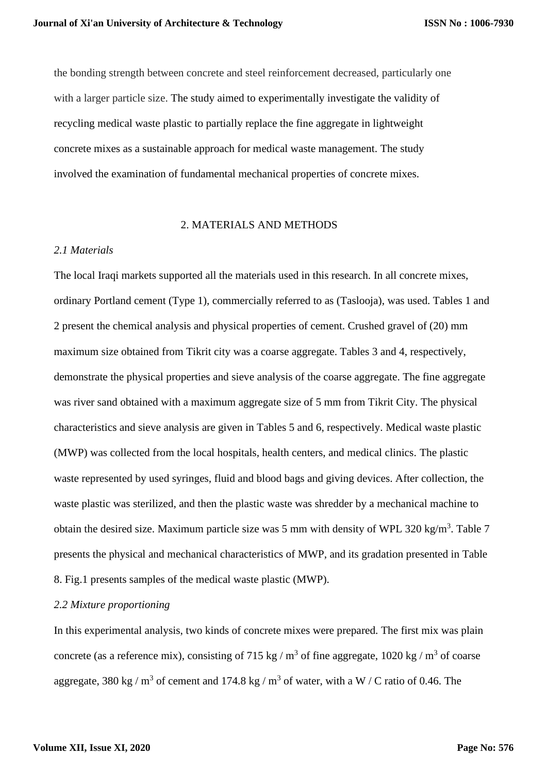the bonding strength between concrete and steel reinforcement decreased, particularly one with a larger particle size. The study aimed to experimentally investigate the validity of recycling medical waste plastic to partially replace the fine aggregate in lightweight concrete mixes as a sustainable approach for medical waste management. The study involved the examination of fundamental mechanical properties of concrete mixes.

#### 2. MATERIALS AND METHODS

#### *2.1 Materials*

The local Iraqi markets supported all the materials used in this research. In all concrete mixes, ordinary Portland cement (Type 1), commercially referred to as (Taslooja), was used. Tables 1 and 2 present the chemical analysis and physical properties of cement. Crushed gravel of (20) mm maximum size obtained from Tikrit city was a coarse aggregate. Tables 3 and 4, respectively, demonstrate the physical properties and sieve analysis of the coarse aggregate. The fine aggregate was river sand obtained with a maximum aggregate size of 5 mm from Tikrit City. The physical characteristics and sieve analysis are given in Tables 5 and 6, respectively. Medical waste plastic (MWP) was collected from the local hospitals, health centers, and medical clinics. The plastic waste represented by used syringes, fluid and blood bags and giving devices. After collection, the waste plastic was sterilized, and then the plastic waste was shredder by a mechanical machine to obtain the desired size. Maximum particle size was 5 mm with density of WPL 320 kg/m<sup>3</sup>. Table 7 presents the physical and mechanical characteristics of MWP, and its gradation presented in Table 8. Fig.1 presents samples of the medical waste plastic (MWP).

## *2.2 Mixture proportioning*

In this experimental analysis, two kinds of concrete mixes were prepared. The first mix was plain concrete (as a reference mix), consisting of 715 kg /  $m<sup>3</sup>$  of fine aggregate, 1020 kg /  $m<sup>3</sup>$  of coarse aggregate, 380 kg /  $m^3$  of cement and 174.8 kg /  $m^3$  of water, with a W / C ratio of 0.46. The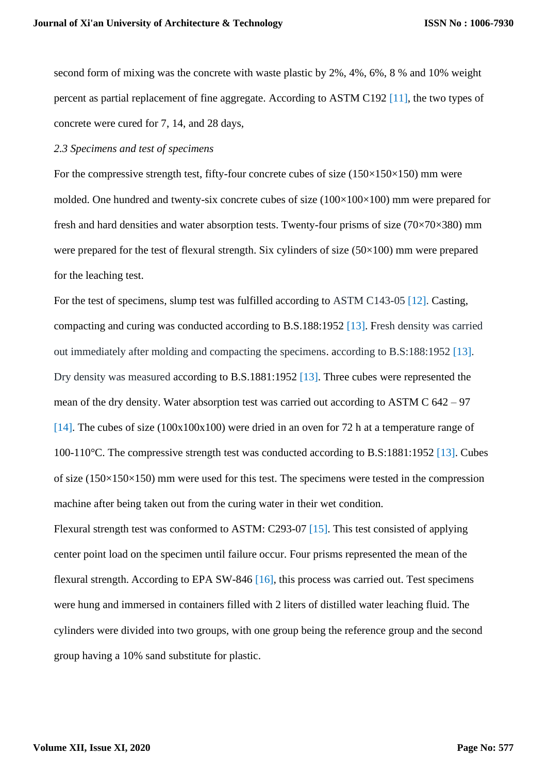second form of mixing was the concrete with waste plastic by 2%, 4%, 6%, 8 % and 10% weight percent as partial replacement of fine aggregate. According to ASTM C192 [11], the two types of concrete were cured for 7, 14, and 28 days,

# *2.3 Specimens and test of specimens*

For the compressive strength test, fifty-four concrete cubes of size  $(150\times150\times150)$  mm were molded. One hundred and twenty-six concrete cubes of size  $(100\times100\times100)$  mm were prepared for fresh and hard densities and water absorption tests. Twenty-four prisms of size  $(70\times70\times380)$  mm were prepared for the test of flexural strength. Six cylinders of size (50×100) mm were prepared for the leaching test.

For the test of specimens, slump test was fulfilled according to ASTM C143-05 [12]. Casting, compacting and curing was conducted according to B.S.188:1952 [13]. Fresh density was carried out immediately after molding and compacting the specimens. according to B.S:188:1952 [13]. Dry density was measured according to B.S.1881:1952 [13]. Three cubes were represented the mean of the dry density. Water absorption test was carried out according to ASTM C 642 – 97 [14]. The cubes of size (100x100x100) were dried in an oven for 72 h at a temperature range of 100-110°C. The compressive strength test was conducted according to B.S:1881:1952 [13]. Cubes of size  $(150\times150\times150)$  mm were used for this test. The specimens were tested in the compression machine after being taken out from the curing water in their wet condition.

Flexural strength test was conformed to ASTM: C293-07 [15]. This test consisted of applying center point load on the specimen until failure occur. Four prisms represented the mean of the flexural strength. According to EPA SW-846 [16], this process was carried out. Test specimens were hung and immersed in containers filled with 2 liters of distilled water leaching fluid. The cylinders were divided into two groups, with one group being the reference group and the second group having a 10% sand substitute for plastic.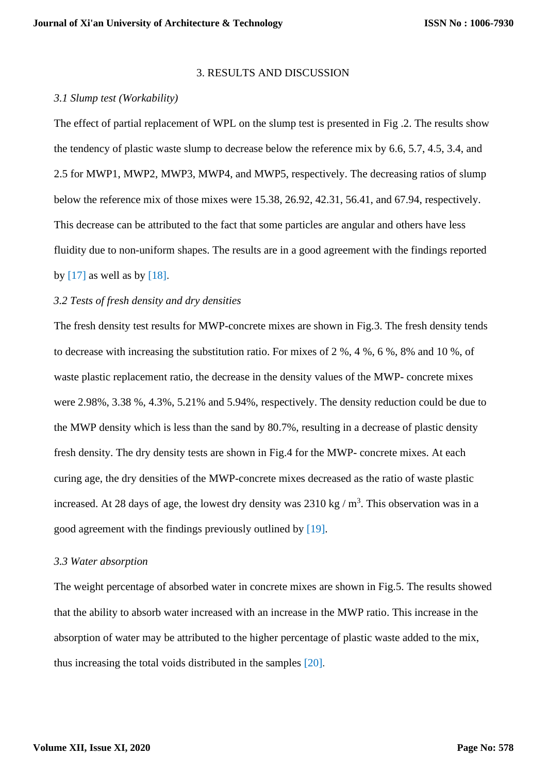### 3. RESULTS AND DISCUSSION

### *3.1 Slump test (Workability)*

The effect of partial replacement of WPL on the slump test is presented in Fig .2. The results show the tendency of plastic waste slump to decrease below the reference mix by 6.6, 5.7, 4.5, 3.4, and 2.5 for MWP1, MWP2, MWP3, MWP4, and MWP5, respectively. The decreasing ratios of slump below the reference mix of those mixes were 15.38, 26.92, 42.31, 56.41, and 67.94, respectively. This decrease can be attributed to the fact that some particles are angular and others have less fluidity due to non-uniform shapes. The results are in a good agreement with the findings reported by  $[17]$  as well as by  $[18]$ .

## *3.2 Tests of fresh density and dry densities*

The fresh density test results for MWP-concrete mixes are shown in Fig.3. The fresh density tends to decrease with increasing the substitution ratio. For mixes of 2 %, 4 %, 6 %, 8% and 10 %, of waste plastic replacement ratio, the decrease in the density values of the MWP- concrete mixes were 2.98%, 3.38 %, 4.3%, 5.21% and 5.94%, respectively. The density reduction could be due to the MWP density which is less than the sand by 80.7%, resulting in a decrease of plastic density fresh density. The dry density tests are shown in Fig.4 for the MWP- concrete mixes. At each curing age, the dry densities of the MWP-concrete mixes decreased as the ratio of waste plastic increased. At 28 days of age, the lowest dry density was  $2310 \text{ kg} / \text{m}^3$ . This observation was in a good agreement with the findings previously outlined by [19].

## *3.3 Water absorption*

The weight percentage of absorbed water in concrete mixes are shown in Fig.5. The results showed that the ability to absorb water increased with an increase in the MWP ratio. This increase in the absorption of water may be attributed to the higher percentage of plastic waste added to the mix, thus increasing the total voids distributed in the samples [20].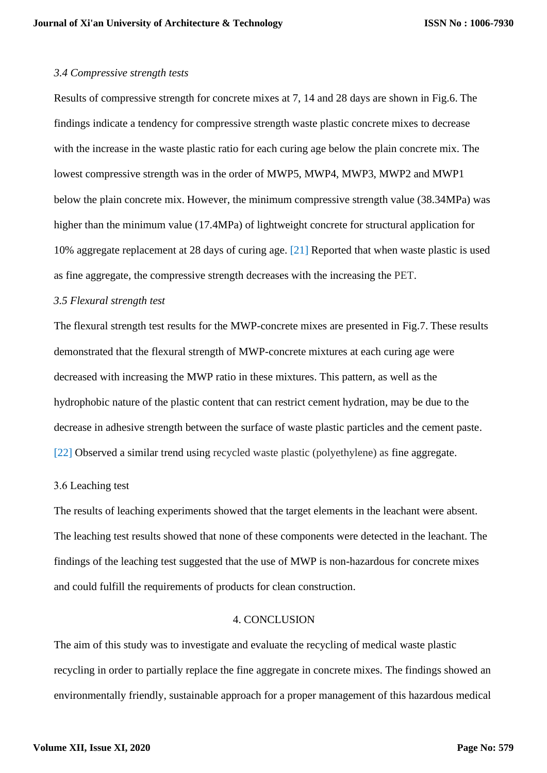#### *3.4 Compressive strength tests*

Results of compressive strength for concrete mixes at 7, 14 and 28 days are shown in Fig.6. The findings indicate a tendency for compressive strength waste plastic concrete mixes to decrease with the increase in the waste plastic ratio for each curing age below the plain concrete mix. The lowest compressive strength was in the order of MWP5, MWP4, MWP3, MWP2 and MWP1 below the plain concrete mix. However, the minimum compressive strength value (38.34MPa) was higher than the minimum value (17.4MPa) of lightweight concrete for structural application for 10% aggregate replacement at 28 days of curing age. [21] Reported that when waste plastic is used as fine aggregate, the compressive strength decreases with the increasing the PET.

## *3.5 Flexural strength test*

The flexural strength test results for the MWP-concrete mixes are presented in Fig.7. These results demonstrated that the flexural strength of MWP-concrete mixtures at each curing age were decreased with increasing the MWP ratio in these mixtures. This pattern, as well as the hydrophobic nature of the plastic content that can restrict cement hydration, may be due to the decrease in adhesive strength between the surface of waste plastic particles and the cement paste. [22] Observed a similar trend using recycled waste plastic (polyethylene) as fine aggregate.

### 3.6 Leaching test

The results of leaching experiments showed that the target elements in the leachant were absent. The leaching test results showed that none of these components were detected in the leachant. The findings of the leaching test suggested that the use of MWP is non-hazardous for concrete mixes and could fulfill the requirements of products for clean construction.

# 4. CONCLUSION

The aim of this study was to investigate and evaluate the recycling of medical waste plastic recycling in order to partially replace the fine aggregate in concrete mixes. The findings showed an environmentally friendly, sustainable approach for a proper management of this hazardous medical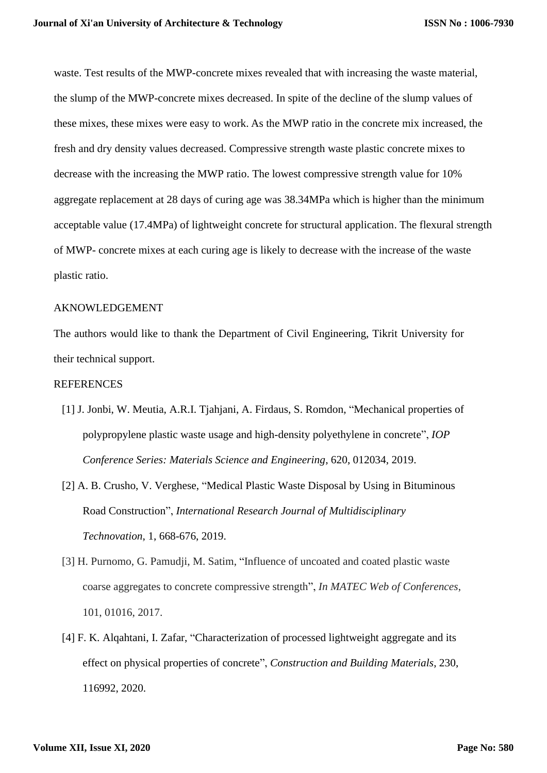waste. Test results of the MWP-concrete mixes revealed that with increasing the waste material, the slump of the MWP-concrete mixes decreased. In spite of the decline of the slump values of these mixes, these mixes were easy to work. As the MWP ratio in the concrete mix increased, the fresh and dry density values decreased. Compressive strength waste plastic concrete mixes to decrease with the increasing the MWP ratio. The lowest compressive strength value for 10% aggregate replacement at 28 days of curing age was 38.34MPa which is higher than the minimum acceptable value (17.4MPa) of lightweight concrete for structural application. The flexural strength of MWP- concrete mixes at each curing age is likely to decrease with the increase of the waste plastic ratio.

# AKNOWLEDGEMENT

The authors would like to thank the Department of Civil Engineering, Tikrit University for their technical support.

### REFERENCES

- [1] J. Jonbi, W. Meutia, A.R.I. Tjahjani, A. Firdaus, S. Romdon, "Mechanical properties of polypropylene plastic waste usage and high-density polyethylene in concrete", *IOP Conference Series: Materials Science and Engineering*, 620, 012034, 2019.
- [2] A. B. Crusho, V. Verghese, "Medical Plastic Waste Disposal by Using in Bituminous Road Construction", *International Research Journal of Multidisciplinary Technovation*, 1, 668-676, 2019.
- [3] H. Purnomo, G. Pamudji, M. Satim, "Influence of uncoated and coated plastic waste coarse aggregates to concrete compressive strength", *In MATEC Web of Conferences*, 101, 01016, 2017.
- [4] F. K. Alqahtani, I. Zafar, "Characterization of processed lightweight aggregate and its effect on physical properties of concrete", *Construction and Building Materials*, 230, 116992, 2020.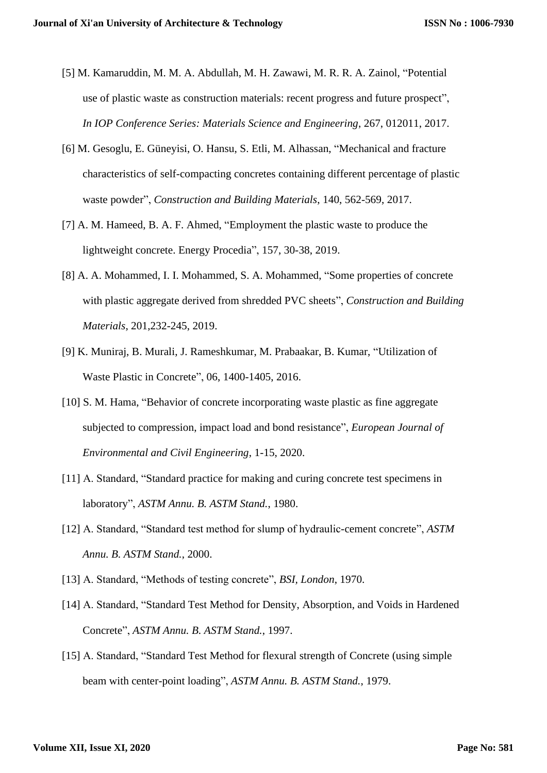- [5] M. Kamaruddin, M. M. A. Abdullah, M. H. Zawawi, M. R. R. A. Zainol, "Potential use of plastic waste as construction materials: recent progress and future prospect", *In IOP Conference Series: Materials Science and Engineering*, 267, 012011, 2017.
- [6] M. Gesoglu, E. Güneyisi, O. Hansu, S. Etli, M. Alhassan, "Mechanical and fracture characteristics of self-compacting concretes containing different percentage of plastic waste powder", *Construction and Building Materials*, 140, 562-569, 2017.
- [7] A. M. Hameed, B. A. F. Ahmed, "Employment the plastic waste to produce the lightweight concrete. Energy Procedia", 157, 30-38, 2019.
- [8] A. A. Mohammed, I. I. Mohammed, S. A. Mohammed, "Some properties of concrete with plastic aggregate derived from shredded PVC sheets", *Construction and Building Materials*, 201,232-245, 2019.
- [9] K. Muniraj, B. Murali, J. Rameshkumar, M. Prabaakar, B. Kumar, "Utilization of Waste Plastic in Concrete", 06, 1400-1405, 2016.
- [10] S. M. Hama, "Behavior of concrete incorporating waste plastic as fine aggregate subjected to compression, impact load and bond resistance", *European Journal of Environmental and Civil Engineering*, 1-15, 2020.
- [11] A. Standard, "Standard practice for making and curing concrete test specimens in laboratory", *ASTM Annu. B. ASTM Stand.*, 1980.
- [12] A. Standard, "Standard test method for slump of hydraulic-cement concrete", *ASTM Annu. B. ASTM Stand.*, 2000.
- [13] A. Standard, "Methods of testing concrete", *BSI, London*, 1970.
- [14] A. Standard, "Standard Test Method for Density, Absorption, and Voids in Hardened Concrete", *ASTM Annu. B. ASTM Stand.*, 1997.
- [15] A. Standard, "Standard Test Method for flexural strength of Concrete (using simple beam with center-point loading", *ASTM Annu. B. ASTM Stand.*, 1979.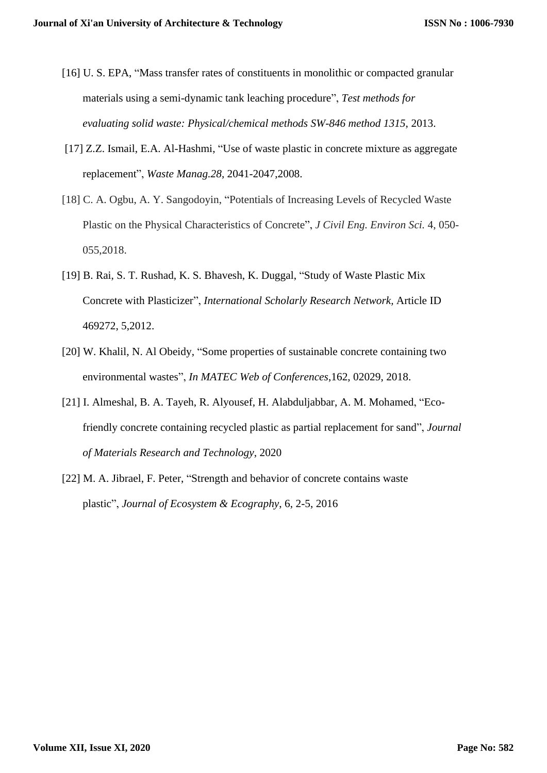- [16] U. S. EPA, "Mass transfer rates of constituents in monolithic or compacted granular materials using a semi-dynamic tank leaching procedure", *Test methods for evaluating solid waste: Physical/chemical methods SW-846 method 1315*, 2013.
- [17] Z.Z. Ismail, E.A. Al-Hashmi, "Use of waste plastic in concrete mixture as aggregate replacement", *Waste Manag.28*, 2041-2047,2008.
- [18] C. A. Ogbu, A. Y. Sangodoyin, "Potentials of Increasing Levels of Recycled Waste Plastic on the Physical Characteristics of Concrete", *J Civil Eng. Environ Sci.* 4, 050- 055,2018.
- [19] B. Rai, S. T. Rushad, K. S. Bhavesh, K. Duggal, "Study of Waste Plastic Mix Concrete with Plasticizer", *International Scholarly Research Network,* Article ID 469272, 5,2012.
- [20] W. Khalil, N. Al Obeidy, "Some properties of sustainable concrete containing two environmental wastes", *In MATEC Web of Conferences*,162, 02029, 2018.
- [21] I. Almeshal, B. A. Tayeh, R. Alyousef, H. Alabduljabbar, A. M. Mohamed, "Ecofriendly concrete containing recycled plastic as partial replacement for sand", *Journal of Materials Research and Technology*, 2020
- [22] M. A. Jibrael, F. Peter, "Strength and behavior of concrete contains waste plastic", *Journal of Ecosystem & Ecography*, 6, 2-5, 2016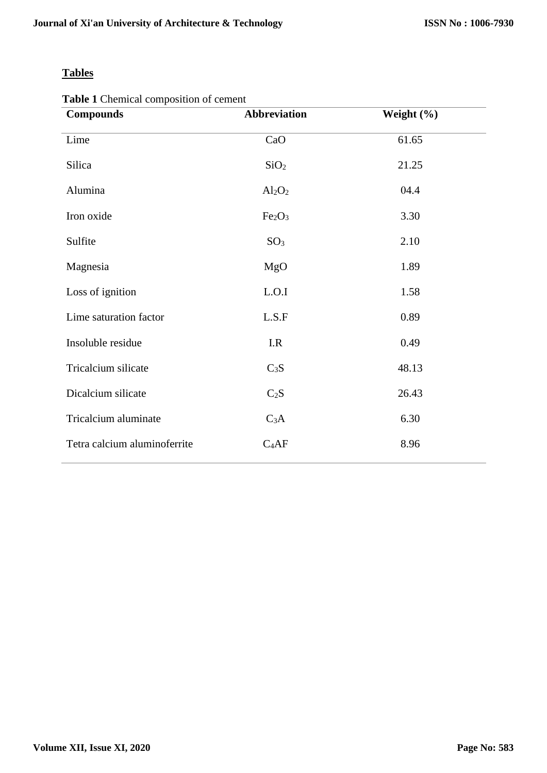# **Tables**

**Table 1** Chemical composition of cement

| <b>Compounds</b>             | <b>Abbreviation</b>            | Weight (%) |
|------------------------------|--------------------------------|------------|
| Lime                         | CaO                            | 61.65      |
| Silica                       | SiO <sub>2</sub>               | 21.25      |
| Alumina                      | $Al_2O_2$                      | 04.4       |
| Iron oxide                   | Fe <sub>2</sub> O <sub>3</sub> | 3.30       |
| Sulfite                      | SO <sub>3</sub>                | 2.10       |
| Magnesia                     | MgO                            | 1.89       |
| Loss of ignition             | L.O.I                          | 1.58       |
| Lime saturation factor       | L.S.F                          | 0.89       |
| Insoluble residue            | I.R                            | 0.49       |
| Tricalcium silicate          | $C_3S$                         | 48.13      |
| Dicalcium silicate           | $C_2S$                         | 26.43      |
| Tricalcium aluminate         | $C_3A$                         | 6.30       |
| Tetra calcium aluminoferrite | $C_4AF$                        | 8.96       |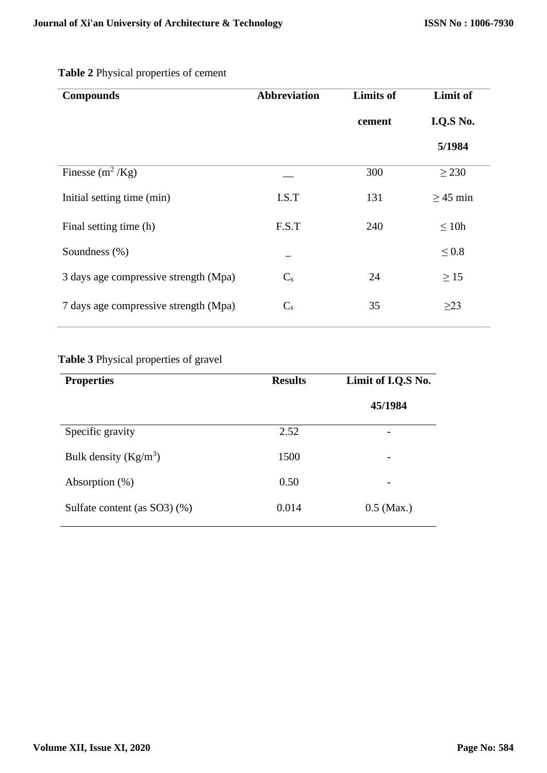| <b>Compounds</b>                      | <b>Abbreviation</b> | <b>Limits of</b> | Limit of      |
|---------------------------------------|---------------------|------------------|---------------|
|                                       |                     | cement           | I.Q.S No.     |
|                                       |                     |                  | 5/1984        |
| Finesse $(m^2/Kg)$                    |                     | 300              | $\geq$ 230    |
| Initial setting time (min)            | I.S.T               | 131              | $\geq$ 45 min |
| Final setting time (h)                | F.S.T               | 240              | $\leq 10h$    |
| Soundness (%)                         |                     |                  | $\leq 0.8$    |
| 3 days age compressive strength (Mpa) | $C_{s}$             | 24               | $\geq$ 15     |
| 7 days age compressive strength (Mpa) | $C_{s}$             | 35               | $\geq$ 23     |

# **Table 2** Physical properties of cement

# **Table 3** Physical properties of gravel

| <b>Properties</b>               | <b>Results</b> | Limit of I.Q.S No.       |
|---------------------------------|----------------|--------------------------|
|                                 |                | 45/1984                  |
| Specific gravity                | 2.52           | $\overline{\phantom{0}}$ |
| Bulk density $(Kg/m^3)$         | 1500           | $\overline{\phantom{0}}$ |
| Absorption $(\%)$               | 0.50           |                          |
| Sulfate content (as $SO3$ ) (%) | 0.014          | $0.5$ (Max.)             |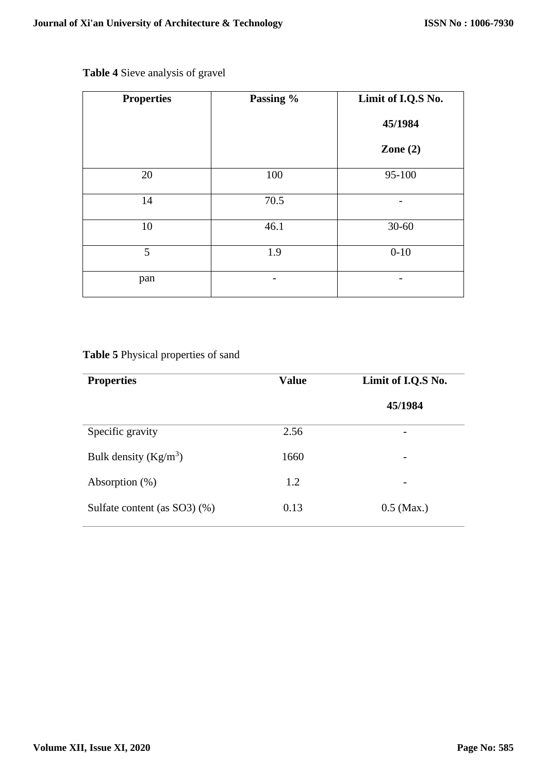| <b>Properties</b> | Passing % | Limit of I.Q.S No. |
|-------------------|-----------|--------------------|
|                   |           | 45/1984            |
|                   |           | Zone $(2)$         |
| 20                | 100       | 95-100             |
| 14                | 70.5      |                    |
| 10                | 46.1      | $30 - 60$          |
| 5                 | 1.9       | $0 - 10$           |
| pan               |           |                    |

# **Table 4** Sieve analysis of gravel

# **Table 5** Physical properties of sand

| <b>Properties</b>               | <b>Value</b> | Limit of I.Q.S No. |
|---------------------------------|--------------|--------------------|
|                                 |              | 45/1984            |
| Specific gravity                | 2.56         |                    |
| Bulk density $(Kg/m^3)$         | 1660         |                    |
| Absorption $(\%)$               | 1.2          |                    |
| Sulfate content (as $SO3$ ) (%) | 0.13         | $0.5$ (Max.)       |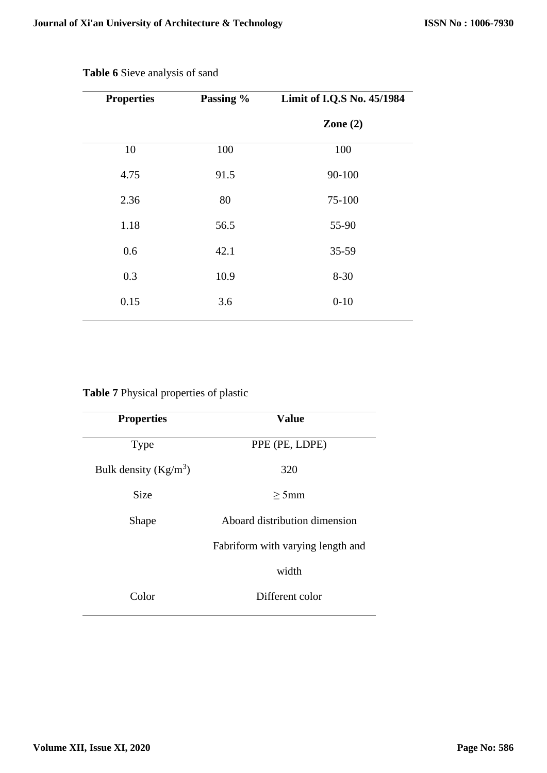| <b>Properties</b> | Passing % | Limit of I.Q.S No. 45/1984 |
|-------------------|-----------|----------------------------|
|                   |           | Zone $(2)$                 |
| 10                | 100       | 100                        |
| 4.75              | 91.5      | 90-100                     |
| 2.36              | 80        | 75-100                     |
| 1.18              | 56.5      | 55-90                      |
| 0.6               | 42.1      | 35-59                      |
| 0.3               | 10.9      | $8 - 30$                   |
| 0.15              | 3.6       | $0 - 10$                   |
|                   |           |                            |

**Table 6** Sieve analysis of sand

# **Table 7** Physical properties of plastic

| <b>Properties</b>       | <b>Value</b>                      |  |
|-------------------------|-----------------------------------|--|
| <b>Type</b>             | PPE (PE, LDPE)                    |  |
| Bulk density $(Kg/m^3)$ | 320                               |  |
| <b>Size</b>             | $>5$ mm                           |  |
| Shape                   | Aboard distribution dimension     |  |
|                         | Fabriform with varying length and |  |
|                         | width                             |  |
| Color                   | Different color                   |  |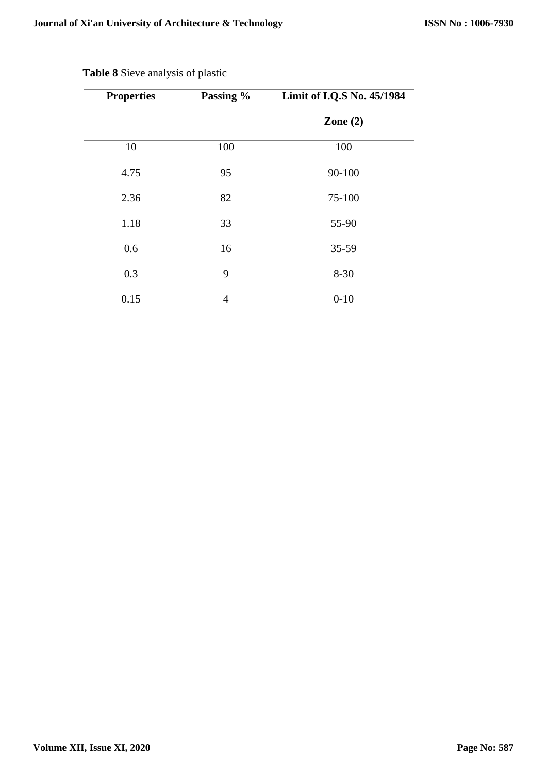| <b>Properties</b> | Passing %      | Limit of I.Q.S No. 45/1984 |
|-------------------|----------------|----------------------------|
|                   |                | Zone $(2)$                 |
| 10                | 100            | 100                        |
| 4.75              | 95             | 90-100                     |
| 2.36              | 82             | 75-100                     |
| 1.18              | 33             | 55-90                      |
| 0.6               | 16             | 35-59                      |
| 0.3               | 9              | $8 - 30$                   |
| 0.15              | $\overline{4}$ | $0 - 10$                   |
|                   |                |                            |

# **Table 8** Sieve analysis of plastic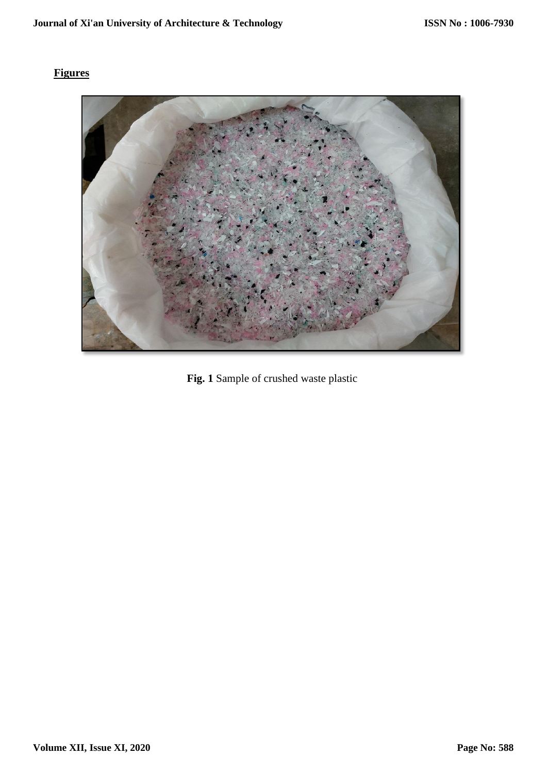# **Figures**



**Fig. 1** Sample of crushed waste plastic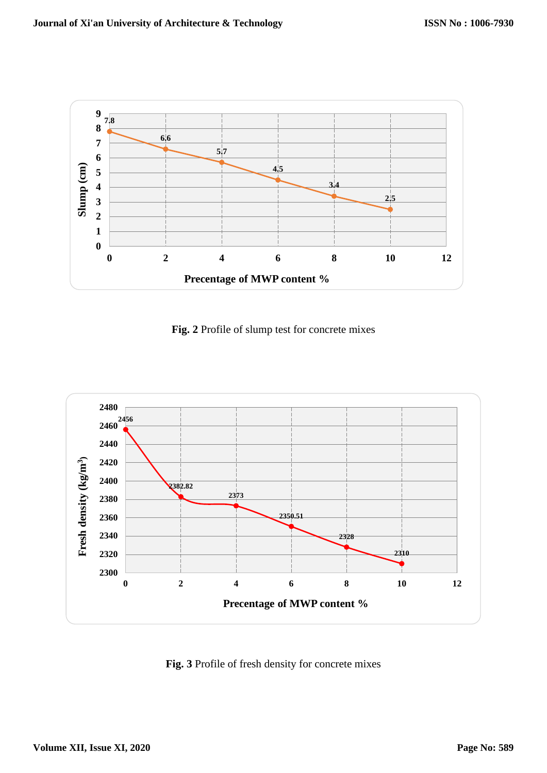

**Fig. 2** Profile of slump test for concrete mixes



**Fig. 3** Profile of fresh density for concrete mixes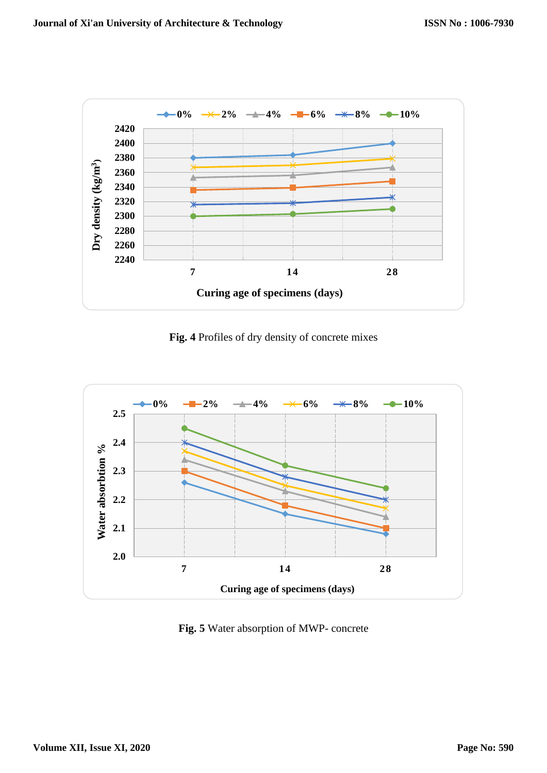

**Fig. 4** Profiles of dry density of concrete mixes



**Fig. 5** Water absorption of MWP- concrete